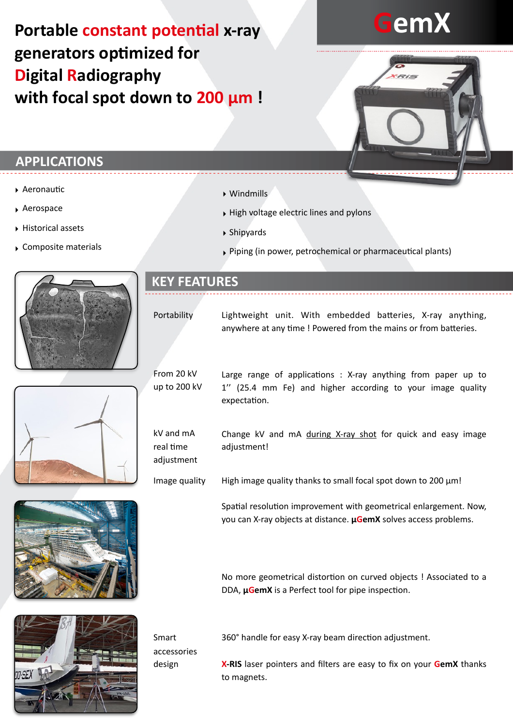## **Portable constant potential x-ray generators optimized for Digital Radiography with focal spot down to 200 µm !**

# **GemX**

#### **APPLICATIONS**

- $\blacktriangleright$  Aeronautic
- ‣ Aerospace
- ‣ Historical assets
- ‣ Composite materials





‣ Windmills

- ‣ High voltage electric lines and pylons
- ‣ Shipyards
- $\triangleright$  Piping (in power, petrochemical or pharmaceutical plants)

#### **KEY FEATURES**

Portability

Lightweight unit. With embedded batteries, X-ray anything, anywhere at any time ! Powered from the mains or from batteries.

From 20 kV up to 200 kV

kV and mA real time adjustment Large range of applications : X-ray anything from paper up to 1'' (25.4 mm Fe) and higher according to your image quality expectation.

Change kV and mA during X-ray shot for quick and easy image adjustment!

Image quality High image quality thanks to small focal spot down to 200  $\mu$ m!

> Spatial resolution improvement with geometrical enlargement. Now, you can X-ray objects at distance. **µGemX** solves access problems.

> No more geometrical distortion on curved objects ! Associated to a DDA, **µGemX** is a Perfect tool for pipe inspection.



360° handle for easy X-ray beam direction adjustment.

accessories design

Smart

**X-RIS** laser pointers and filters are easy to fix on your **GemX** thanks to magnets.